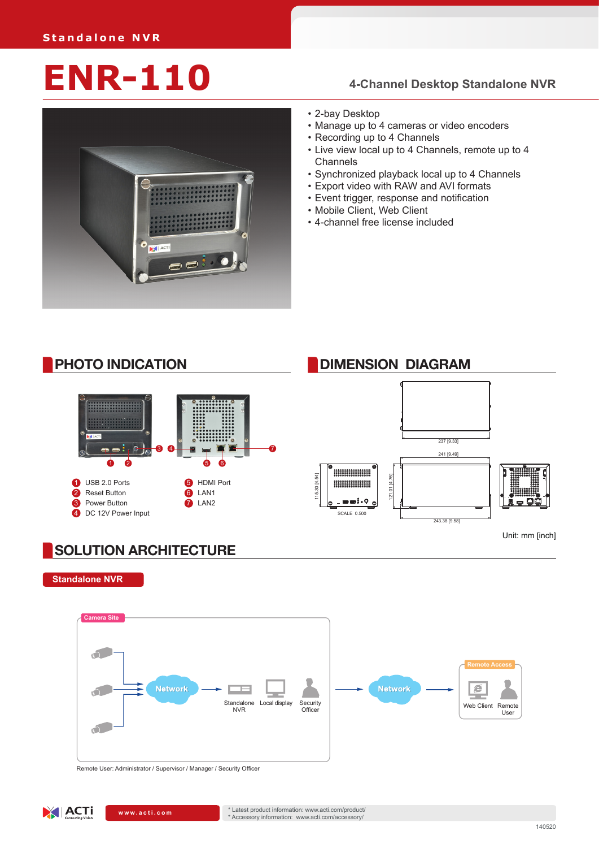# **ENR-110 4-Channel Desktop Standalone NVR**



- • 2-bay Desktop
- • Manage up to 4 cameras or video encoders
- • Recording up to 4 Channels
- Live view local up to 4 Channels, remote up to 4 Channels
- • Synchronized playback local up to 4 Channels
- • Export video with RAW and AVI formats
- Event trigger, response and notification
- • Mobile Client, Web Client
- • 4-channel free license included



#### **SOLUTION ARCHITECTURE**

**Standalone NVR**